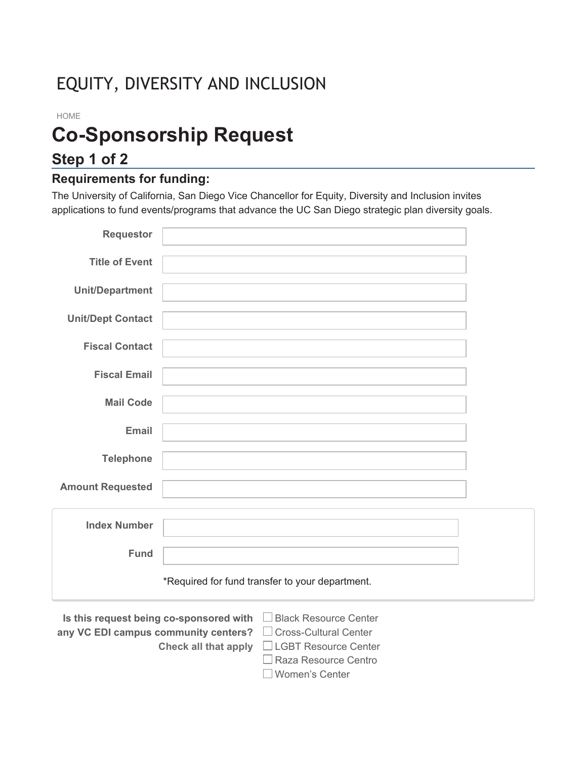# EQUITY, DIVERSITY AND INCLUSION

#### HOME

# **Co-Sponsorship Request**

# **Step 1 of 2**

### **Requirements for funding:**

The University of California, San Diego Vice Chancellor for Equity, Diversity and Inclusion invites applications to fund events/programs that advance the UC San Diego strategic plan diversity goals.

| <b>Requestor</b>                                                        |                                                                                            |  |  |
|-------------------------------------------------------------------------|--------------------------------------------------------------------------------------------|--|--|
| <b>Title of Event</b>                                                   |                                                                                            |  |  |
| <b>Unit/Department</b>                                                  |                                                                                            |  |  |
| <b>Unit/Dept Contact</b>                                                |                                                                                            |  |  |
| <b>Fiscal Contact</b>                                                   |                                                                                            |  |  |
| <b>Fiscal Email</b>                                                     |                                                                                            |  |  |
|                                                                         |                                                                                            |  |  |
| <b>Mail Code</b>                                                        |                                                                                            |  |  |
| <b>Email</b>                                                            |                                                                                            |  |  |
| <b>Telephone</b>                                                        |                                                                                            |  |  |
| <b>Amount Requested</b>                                                 |                                                                                            |  |  |
|                                                                         |                                                                                            |  |  |
| <b>Index Number</b>                                                     |                                                                                            |  |  |
| <b>Fund</b>                                                             |                                                                                            |  |  |
|                                                                         | *Required for fund transfer to your department.                                            |  |  |
| Is this request being co-sponsored with<br><b>Black Resource Center</b> |                                                                                            |  |  |
| any VC EDI campus community centers?                                    | <b>Cross-Cultural Center</b><br><b>Check all that apply</b><br><b>LGBT Resource Center</b> |  |  |

■ Raza Resource Centro Women's Center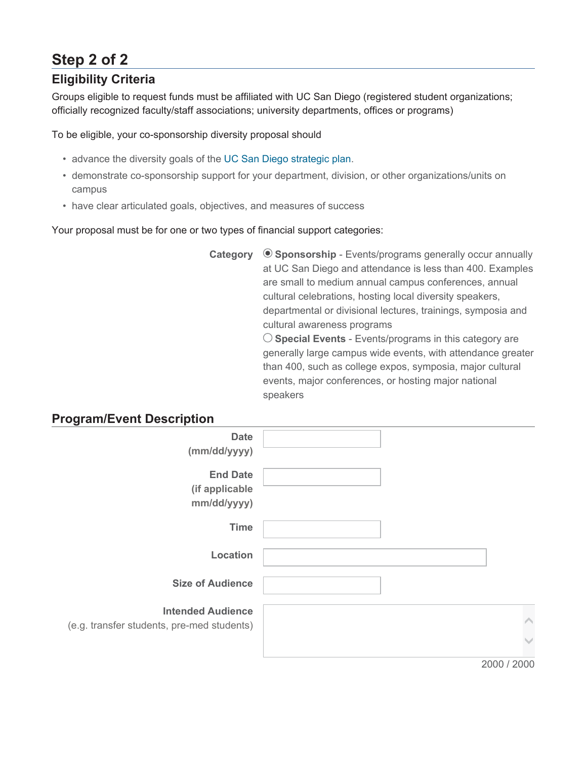# **Step 2 of 2**

# **Eligibility Criteria**

Groups eligible to request funds must be affiliated with UC San Diego (registered student organizations; officially recognized faculty/staff associations; university departments, offices or programs)

To be eligible, your co-sponsorship diversity proposal should

- advance the diversity goals of the UC San Diego strategic plan.
- demonstrate co-sponsorship support for your department, division, or other organizations/units on campus
- have clear articulated goals, objectives, and measures of success

Your proposal must be for one or two types of financial support categories:

**Category**  $\odot$  **Sponsorship** - Events/programs generally occur annually at UC San Diego and attendance is less than 400. Examples are small to medium annual campus conferences, annual cultural celebrations, hosting local diversity speakers, departmental or divisional lectures, trainings, symposia and cultural awareness programs **Special Events** - Events/programs in this category are generally large campus wide events, with attendance greater

than 400, such as college expos, symposia, major cultural events, major conferences, or hosting major national speakers

### **Program/Event Description**

| <b>Date</b>                                |             |
|--------------------------------------------|-------------|
|                                            |             |
| (mm/dd/yyyy)                               |             |
|                                            |             |
| <b>End Date</b>                            |             |
| (if applicable                             |             |
|                                            |             |
| mm/dd/yyyy)                                |             |
|                                            |             |
| <b>Time</b>                                |             |
|                                            |             |
|                                            |             |
| Location                                   |             |
|                                            |             |
| <b>Size of Audience</b>                    |             |
|                                            |             |
|                                            |             |
| <b>Intended Audience</b>                   |             |
| (e.g. transfer students, pre-med students) |             |
|                                            |             |
|                                            |             |
|                                            |             |
|                                            | 2000 / 2000 |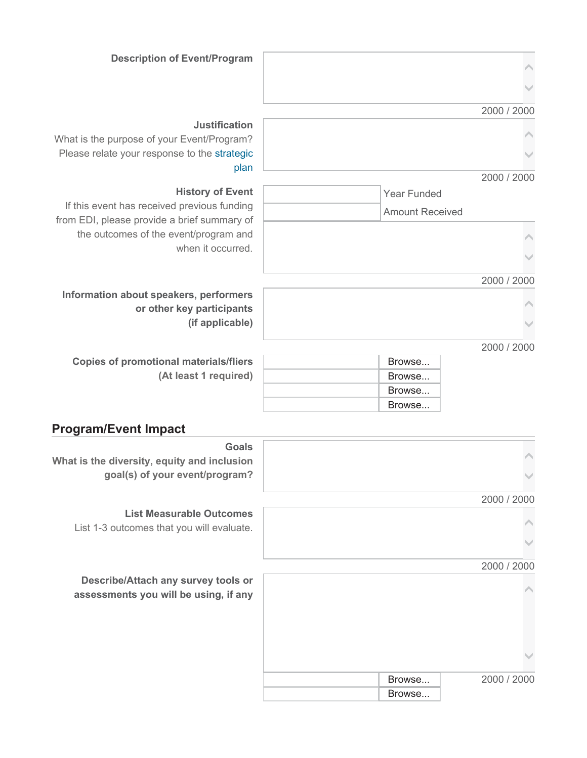#### 2000 / 2000

| ۸ |  |
|---|--|
|   |  |

 $\triangleright$ 

 $\checkmark$ 

2000 / 2000

 Year Funded Amount Received

> $\triangleright$ ఘ

2000 / 2000



2000 / 2000

| <b>Copies of promotional materials/fliers</b> |  |
|-----------------------------------------------|--|
| (At least 1 required)                         |  |

**or other key participants**

**(if applicable)**

| Browse |
|--------|
| Browse |
| Browse |
| Browse |

### **Program/Event Impact**

| <b>Goals</b>                                                                 |        |             |
|------------------------------------------------------------------------------|--------|-------------|
| What is the diversity, equity and inclusion                                  |        |             |
| goal(s) of your event/program?                                               |        |             |
|                                                                              |        | 2000 / 2000 |
| <b>List Measurable Outcomes</b><br>List 1-3 outcomes that you will evaluate. |        |             |
|                                                                              |        |             |
|                                                                              |        | 2000 / 2000 |
| Describe/Attach any survey tools or<br>assessments you will be using, if any |        |             |
|                                                                              |        |             |
|                                                                              | Browse | 2000 / 2000 |
|                                                                              | Browse |             |

#### **Description of Event/Program**

#### **Justification**

What is the purpose of your Event/Program? Please relate your response to the strategic plan

#### **History of Event**

If this event has received previous funding from EDI, please provide a brief summary of the outcomes of the event/program and when it occurred.

**Information about speakers, performers**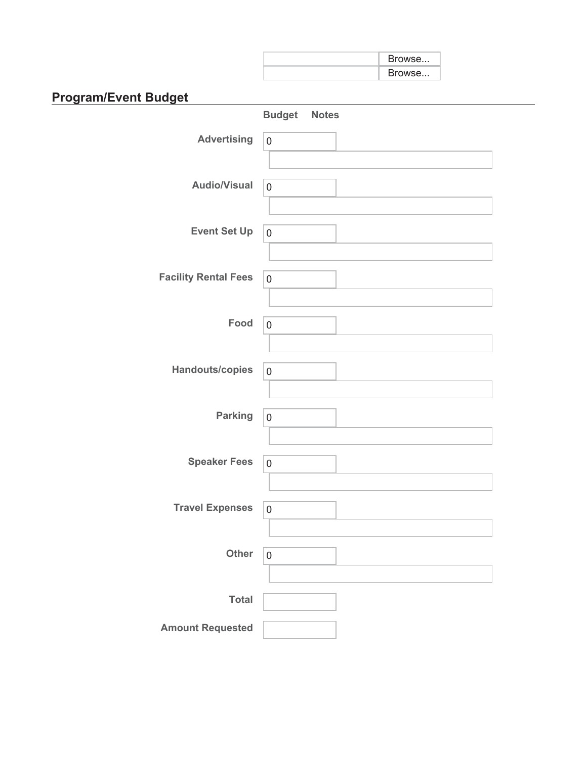| Browse |
|--------|
| Browse |

# **Program/Event Budget**

|                             | <b>Budget Notes</b> |  |
|-----------------------------|---------------------|--|
| <b>Advertising</b>          | $\mathsf{O}\xspace$ |  |
|                             |                     |  |
| <b>Audio/Visual</b>         | $\mathsf{O}\xspace$ |  |
|                             |                     |  |
| <b>Event Set Up</b>         | $\mathbf 0$         |  |
|                             |                     |  |
| <b>Facility Rental Fees</b> | $\mathsf{O}\xspace$ |  |
|                             |                     |  |
| Food                        | $\mathsf{O}\xspace$ |  |
|                             |                     |  |
| Handouts/copies             | $\mathsf{O}\xspace$ |  |
|                             |                     |  |
| <b>Parking</b>              | $\mathsf{O}\xspace$ |  |
|                             |                     |  |
| <b>Speaker Fees</b>         | $\mathbf 0$         |  |
|                             |                     |  |
| <b>Travel Expenses</b>      | $\mathbf 0$         |  |
|                             |                     |  |
| Other                       | $\boldsymbol{0}$    |  |
|                             |                     |  |
| <b>Total</b>                |                     |  |
| <b>Amount Requested</b>     |                     |  |